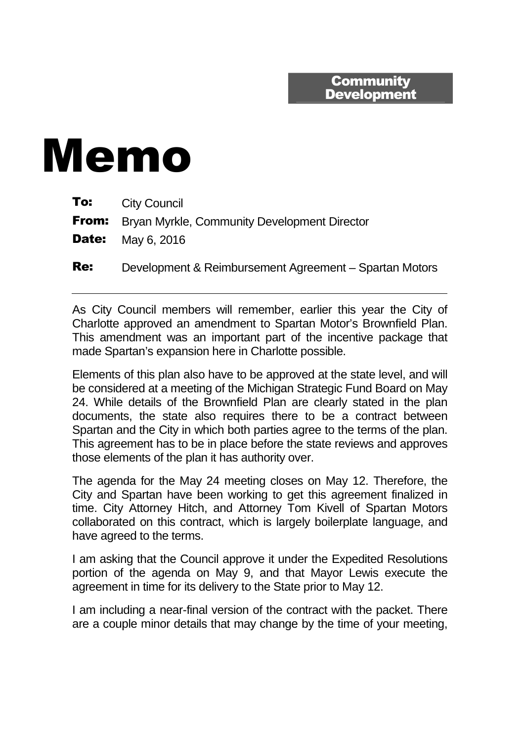## **Community Development**

## Memo

| To: | <b>City Council</b> |
|-----|---------------------|
|-----|---------------------|

**From:** Bryan Myrkle, Community Development Director

**Date:** May 6, 2016

Re: Development & Reimbursement Agreement – Spartan Motors

As City Council members will remember, earlier this year the City of Charlotte approved an amendment to Spartan Motor's Brownfield Plan. This amendment was an important part of the incentive package that made Spartan's expansion here in Charlotte possible.

Elements of this plan also have to be approved at the state level, and will be considered at a meeting of the Michigan Strategic Fund Board on May 24. While details of the Brownfield Plan are clearly stated in the plan documents, the state also requires there to be a contract between Spartan and the City in which both parties agree to the terms of the plan. This agreement has to be in place before the state reviews and approves those elements of the plan it has authority over.

The agenda for the May 24 meeting closes on May 12. Therefore, the City and Spartan have been working to get this agreement finalized in time. City Attorney Hitch, and Attorney Tom Kivell of Spartan Motors collaborated on this contract, which is largely boilerplate language, and have agreed to the terms.

I am asking that the Council approve it under the Expedited Resolutions portion of the agenda on May 9, and that Mayor Lewis execute the agreement in time for its delivery to the State prior to May 12.

I am including a near-final version of the contract with the packet. There are a couple minor details that may change by the time of your meeting,